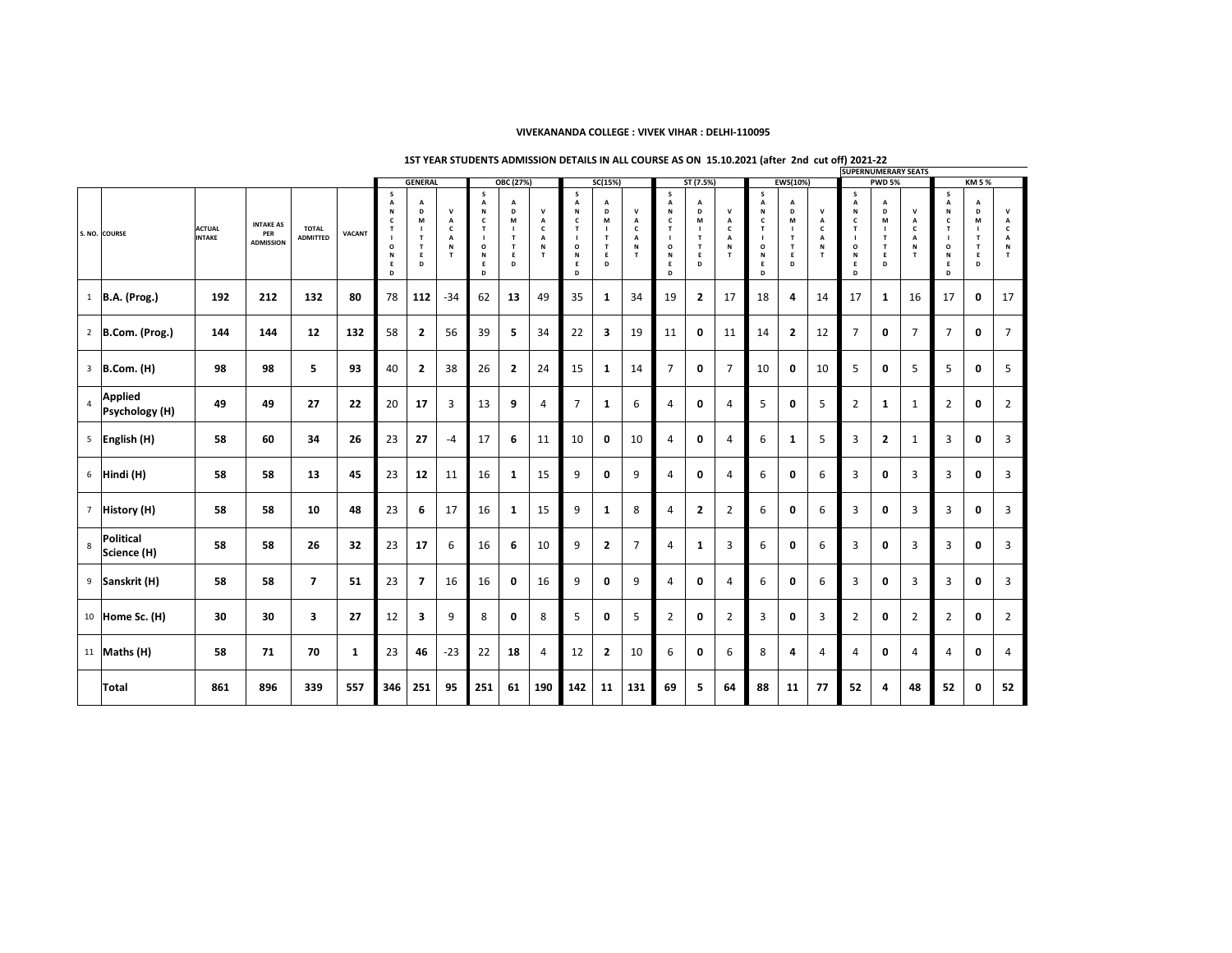### **VIVEKANANDA COLLEGE : VIVEK VIHAR : DELHI-110095**

|                                                   |                                |                                                    |                                 |                                                                                                                                                                                                                                                                                                                                                                       |                 |                                                                                                                                                                                                                                                                                                                                                                       |                                       |                                                                                                                                                                                      |                           |           |           |                               |                          |             |                          |           |           |                                          |                                                                             | <b>SUPERNUMERARY SEATS</b> |                         |    |                |                                         |               |  |
|---------------------------------------------------|--------------------------------|----------------------------------------------------|---------------------------------|-----------------------------------------------------------------------------------------------------------------------------------------------------------------------------------------------------------------------------------------------------------------------------------------------------------------------------------------------------------------------|-----------------|-----------------------------------------------------------------------------------------------------------------------------------------------------------------------------------------------------------------------------------------------------------------------------------------------------------------------------------------------------------------------|---------------------------------------|--------------------------------------------------------------------------------------------------------------------------------------------------------------------------------------|---------------------------|-----------|-----------|-------------------------------|--------------------------|-------------|--------------------------|-----------|-----------|------------------------------------------|-----------------------------------------------------------------------------|----------------------------|-------------------------|----|----------------|-----------------------------------------|---------------|--|
|                                                   |                                |                                                    |                                 |                                                                                                                                                                                                                                                                                                                                                                       | <b>GENERAL</b>  |                                                                                                                                                                                                                                                                                                                                                                       |                                       | <b>OBC (27%)</b>                                                                                                                                                                     |                           |           | SC(15%)   |                               |                          | ST(7.5%)    |                          |           |           | <b>EWS(10%)</b>                          |                                                                             | <b>PWD 5%</b>              |                         |    | <b>KM 5 %</b>  |                                         |               |  |
| S. NO. COURSE                                     | <b>ACTUAL</b><br><b>INTAKE</b> | <b>INTAKE AS</b><br><b>PER</b><br><b>ADMISSION</b> | <b>TOTAL</b><br><b>ADMITTED</b> | <b>VACANT</b>                                                                                                                                                                                                                                                                                                                                                         | $\sqrt{ }$<br>D | M                                                                                                                                                                                                                                                                                                                                                                     | $\blacksquare$                        |                                                                                                                                                                                      | $\sqrt{ }$<br>D<br>M<br>D |           |           | $\overline{\phantom{a}}$<br>M |                          |             | M                        |           |           | M                                        | $\blacksquare$<br>$\overline{\phantom{a}}$<br>$\overline{\phantom{a}}$<br>N |                            | $\Gamma$<br>M           |    | <b>NI</b><br>M | $\overline{\phantom{a}}$<br>D<br>M<br>D |               |  |
| B.A. (Prog.)                                      | 192                            | 212                                                | 132                             | 80                                                                                                                                                                                                                                                                                                                                                                    | 78              | 112                                                                                                                                                                                                                                                                                                                                                                   | $-34$                                 | 62                                                                                                                                                                                   | 13                        | 49        | 35        | $\mathbf{1}$                  | 34                       | 19          | $\bigcirc$<br>$\epsilon$ | 17        | 18        | $\overline{4}$                           | 14                                                                          | 17                         | $\mathbf{I}$            | 16 | 17             | $\boldsymbol{0}$                        | $\frac{1}{2}$ |  |
| B.Com. (Prog.)                                    | 144                            | 144                                                | 12                              | 132                                                                                                                                                                                                                                                                                                                                                                   | 58              | $\overline{2}$                                                                                                                                                                                                                                                                                                                                                        | 56                                    | 39                                                                                                                                                                                   | $\sqrt{2}$                | 34        | 22        | 3                             | 19                       | 11          | $\mathbf 0$              | 11        | 14        | $\mathbf{L}$<br>$\overline{\phantom{a}}$ | 12                                                                          |                            | $\mathbf 0$             |    |                | $\boldsymbol{0}$                        |               |  |
| 3 B.Com. (H)                                      | 98                             | 98                                                 |                                 | 93                                                                                                                                                                                                                                                                                                                                                                    | 40              | $\overline{2}$                                                                                                                                                                                                                                                                                                                                                        | 38                                    | 26                                                                                                                                                                                   | $\overline{2}$            | 24        | 15        | $\mathbf{1}$                  | 14                       |             | $\mathbf 0$              |           | 10        | $\overline{\mathbf{0}}$                  | 10                                                                          |                            | $\boldsymbol{0}$        |    |                | $\boldsymbol{0}$                        |               |  |
| Applied<br>Psychology (H)                         | 49                             | 49                                                 | 27                              | 22                                                                                                                                                                                                                                                                                                                                                                    | 20              | 17<br>$\frac{1}{2} \sum_{i=1}^{n} \frac{1}{2} \sum_{j=1}^{n} \frac{1}{2} \sum_{j=1}^{n} \frac{1}{2} \sum_{j=1}^{n} \frac{1}{2} \sum_{j=1}^{n} \frac{1}{2} \sum_{j=1}^{n} \frac{1}{2} \sum_{j=1}^{n} \frac{1}{2} \sum_{j=1}^{n} \frac{1}{2} \sum_{j=1}^{n} \frac{1}{2} \sum_{j=1}^{n} \frac{1}{2} \sum_{j=1}^{n} \frac{1}{2} \sum_{j=1}^{n} \frac{1}{2} \sum_{j=1}^{n$ | $\blacktriangleright$                 | $\blacksquare$                                                                                                                                                                       | $\bullet$                 |           |           |                               |                          |             | $\mathbf 0$              |           |           |                                          |                                                                             |                            |                         |    |                | $\bf{0}$                                |               |  |
| English (H)                                       | 58                             | 60                                                 | 34                              | 26                                                                                                                                                                                                                                                                                                                                                                    | 23              | 27                                                                                                                                                                                                                                                                                                                                                                    | $-4$                                  | $\begin{array}{c} \begin{array}{c} \begin{array}{c} \end{array} \end{array} \end{array}$<br>$\begin{array}{c} \begin{array}{c} \begin{array}{c} \end{array} \end{array} \end{array}$ | $\bullet$                 | 11<br>ᆂᆂ  | 10        | $\boldsymbol{0}$              | 10                       |             | $\bf{0}$                 |           |           |                                          |                                                                             |                            |                         |    |                | $\bf{0}$                                |               |  |
| 6 Hindi (H)<br>$\sim$ $\sim$ $\sim$ $\sim$ $\sim$ | 58                             | 58                                                 | 13                              | 45                                                                                                                                                                                                                                                                                                                                                                    | 23              | 12                                                                                                                                                                                                                                                                                                                                                                    | 11                                    | 16                                                                                                                                                                                   |                           | 15        | $\Omega$  |                               |                          |             |                          |           |           |                                          |                                                                             |                            |                         |    |                | $\bf{0}$                                |               |  |
| History (H)                                       | 58                             | 58                                                 | <b>10</b>                       | 48                                                                                                                                                                                                                                                                                                                                                                    | 23              |                                                                                                                                                                                                                                                                                                                                                                       | $\mathbf{\overline{1}}$<br><b>T</b> \ | 16                                                                                                                                                                                   |                           | 15        | $\Omega$  |                               |                          |             |                          |           |           |                                          |                                                                             |                            |                         |    |                | $\boldsymbol{0}$                        |               |  |
| Political<br>Science (H)                          | 58                             | 58                                                 | 26                              | 32                                                                                                                                                                                                                                                                                                                                                                    | 23              | 17<br>$\blacksquare$                                                                                                                                                                                                                                                                                                                                                  | $\mathbf 0$                           | 16                                                                                                                                                                                   | $\bullet$                 | 10        |           | $\epsilon$                    |                          |             |                          |           |           |                                          |                                                                             |                            |                         |    |                | $\bf{0}$                                |               |  |
| Sanskrit (H)                                      | 58                             | 58                                                 |                                 | 51<br>$\sum_{i=1}^{n} \frac{1}{i} \sum_{i=1}^{n} \frac{1}{i} \sum_{i=1}^{n} \frac{1}{i} \sum_{i=1}^{n} \frac{1}{i} \sum_{i=1}^{n} \frac{1}{i} \sum_{i=1}^{n} \frac{1}{i} \sum_{i=1}^{n} \frac{1}{i} \sum_{i=1}^{n} \frac{1}{i} \sum_{i=1}^{n} \frac{1}{i} \sum_{i=1}^{n} \frac{1}{i} \sum_{i=1}^{n} \frac{1}{i} \sum_{i=1}^{n} \frac{1}{i} \sum_{i=1}^{n} \frac{1}{i$ | $\bigcap$<br>ムコ |                                                                                                                                                                                                                                                                                                                                                                       | 16                                    | 16                                                                                                                                                                                   | $\boldsymbol{0}$          | 16        | $\Omega$  | $\Omega$                      |                          |             |                          |           |           |                                          |                                                                             |                            |                         |    |                | $\mathbf 0$                             |               |  |
| 10 Home Sc. (H)                                   | 30                             | 30                                                 | $\mathbf 5$                     | 27                                                                                                                                                                                                                                                                                                                                                                    | 12              |                                                                                                                                                                                                                                                                                                                                                                       | $\mathbf{Q}$                          |                                                                                                                                                                                      | $\boldsymbol{0}$          | $\bullet$ |           | $\boldsymbol{0}$              | $\overline{\phantom{0}}$ |             | $\mathbf 0$              |           |           | $\boldsymbol{0}$                         |                                                                             |                            |                         |    |                | $\boldsymbol{0}$                        |               |  |
| 11   Maths $(H)$                                  | 58                             | 71                                                 | 70                              |                                                                                                                                                                                                                                                                                                                                                                       | 23              | 46                                                                                                                                                                                                                                                                                                                                                                    | $-23$                                 | 22                                                                                                                                                                                   | 18                        |           | 12        | $\overline{\mathbf{2}}$       | 10                       | $\mathbf b$ | $\mathbf 0$              | $\bullet$ | $\bullet$ | $\ddot{\phantom{1}}$                     |                                                                             |                            |                         |    | 4              | $\boldsymbol{0}$                        |               |  |
| Total                                             | 861                            | 896                                                | 339                             | 557 I                                                                                                                                                                                                                                                                                                                                                                 |                 | $\vert 346 \vert 251 \vert 95$                                                                                                                                                                                                                                                                                                                                        |                                       | 251                                                                                                                                                                                  | 61                        |           | 190   142 | 11                            | 131                      | 69          |                          | 64        | 88        | 11                                       | 77<br>$\overline{\phantom{a}}$                                              | 52                         | $\overline{\mathbf{A}}$ | 48 | 52             | $\mathbf{0}$                            | 52            |  |

## **1ST YEAR STUDENTS ADMISSION DETAILS IN ALL COURSE AS ON 15.10.2021 (after 2nd cut off) 2021-22**